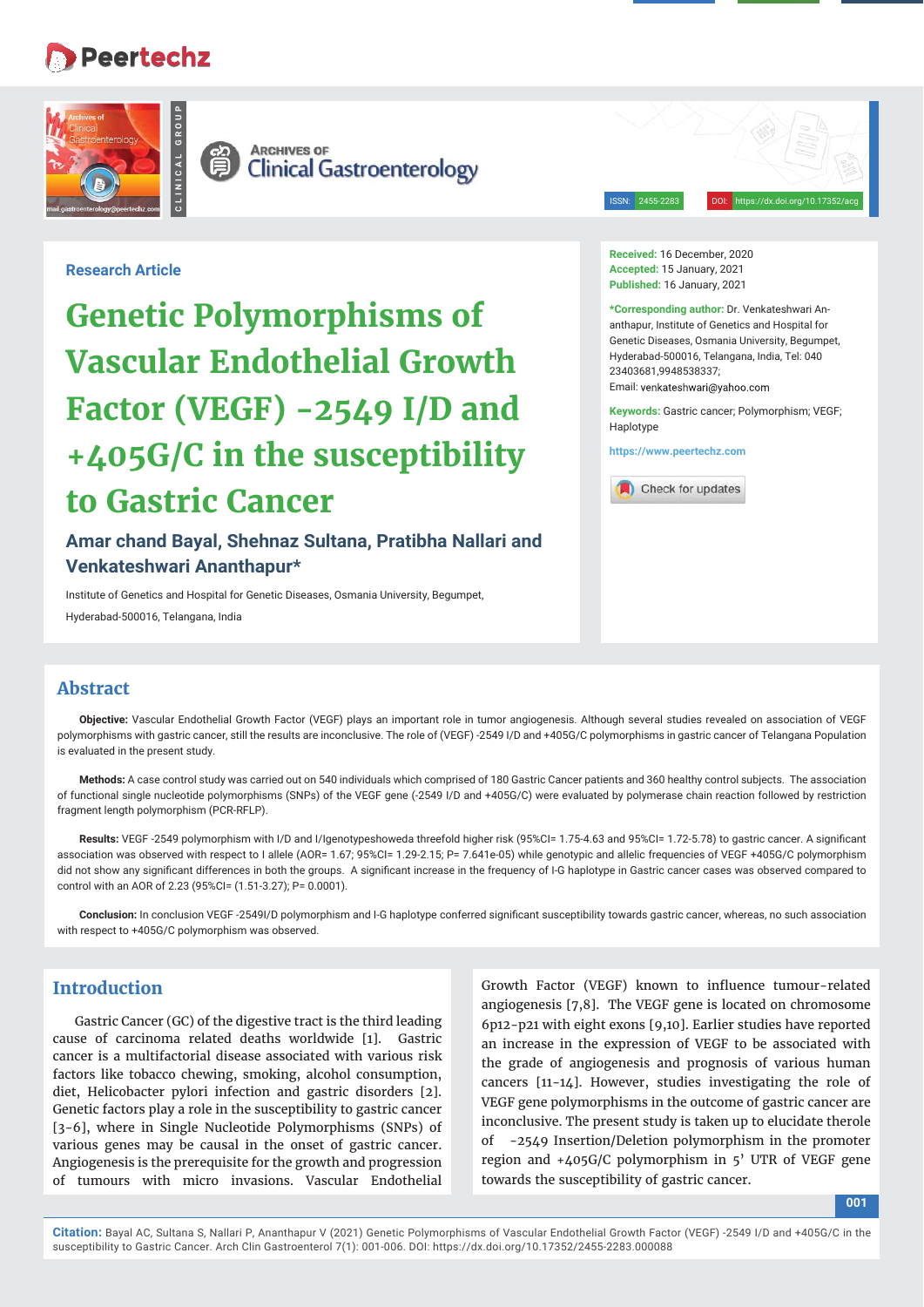# **Peertechz**

**CLINICAL GROUP**



**ARCHIVES OF**<br>Clinical Gastroenterology 眉

ISSN: 2455-2283 DOI: https://dx.doi.org/10.17352/acg

## **Research Article**

**Genetic Polymorphisms of Vascular Endothelial Growth Factor (VEGF) -2549 I/D and +405G/C in the susceptibility to Gastric Cancer**

**Amar chand Bayal, Shehnaz Sultana, Pratibha Nallari and Venkateshwari Ananthapur\*** 

Institute of Genetics and Hospital for Genetic Diseases, Osmania University, Begumpet, Hyderabad-500016, Telangana, India

**Received:** 16 December, 2020 **Accepted:** 15 January, 2021 **Published:** 16 January, 2021

**\*Corresponding author:** Dr. Venkateshwari Ananthapur, Institute of Genetics and Hospital for Genetic Diseases, Osmania University, Begumpet, Hyderabad-500016, Telangana, India, Tel: 040 23403681,9948538337; Email: venkateshwari@vahoo.com

**Keywords:** Gastric cancer; Polymorphism; VEGF; Haplotype

**https://www.peertechz.com**



## **Abstract**

**Objective:** Vascular Endothelial Growth Factor (VEGF) plays an important role in tumor angiogenesis. Although several studies revealed on association of VEGF polymorphisms with gastric cancer, still the results are inconclusive. The role of (VEGF) -2549 I/D and +405G/C polymorphisms in gastric cancer of Telangana Population is evaluated in the present study.

**Methods:** A case control study was carried out on 540 individuals which comprised of 180 Gastric Cancer patients and 360 healthy control subjects. The association of functional single nucleotide polymorphisms (SNPs) of the VEGF gene (-2549 I/D and +405G/C) were evaluated by polymerase chain reaction followed by restriction fragment length polymorphism (PCR-RFLP).

Results: VEGF -2549 polymorphism with I/D and I/Igenotypeshoweda threefold higher risk (95%CI= 1.75-4.63 and 95%CI= 1.72-5.78) to gastric cancer. A significant association was observed with respect to I allele (AOR= 1.67; 95%CI= 1.29-2.15; P= 7.641e-05) while genotypic and allelic frequencies of VEGF +405G/C polymorphism did not show any significant differences in both the groups. A significant increase in the frequency of I-G haplotype in Gastric cancer cases was observed compared to control with an AOR of 2.23 (95%CI= (1.51-3.27); P= 0.0001).

Conclusion: In conclusion VEGF -2549I/D polymorphism and I-G haplotype conferred significant susceptibility towards gastric cancer, whereas, no such association with respect to +405G/C polymorphism was observed.

## **Introduction**

Gastric Cancer (GC) of the digestive tract is the third leading cause of carcinoma related deaths worldwide [1]. Gastric cancer is a multifactorial disease associated with various risk factors like tobacco chewing, smoking, alcohol consumption, diet, Helicobacter pylori infection and gastric disorders [2]. Genetic factors play a role in the susceptibility to gastric cancer [3-6], where in Single Nucleotide Polymorphisms (SNPs) of various genes may be causal in the onset of gastric cancer. Angiogenesis is the prerequisite for the growth and progression of tumours with micro invasions. Vascular Endothelial Growth Factor (VEGF) known to influence tumour-related angiogenesis [7,8]. The VEGF gene is located on chromosome 6p12-p21 with eight exons [9,10]. Earlier studies have reported an increase in the expression of VEGF to be associated with the grade of angiogenesis and prognosis of various human cancers [11-14]. However, studies investigating the role of VEGF gene polymorphisms in the outcome of gastric cancer are inconclusive. The present study is taken up to elucidate therole -2549 Insertion/Deletion polymorphism in the promoter region and +405G/C polymorphism in 5' UTR of VEGF gene towards the susceptibility of gastric cancer.

**001**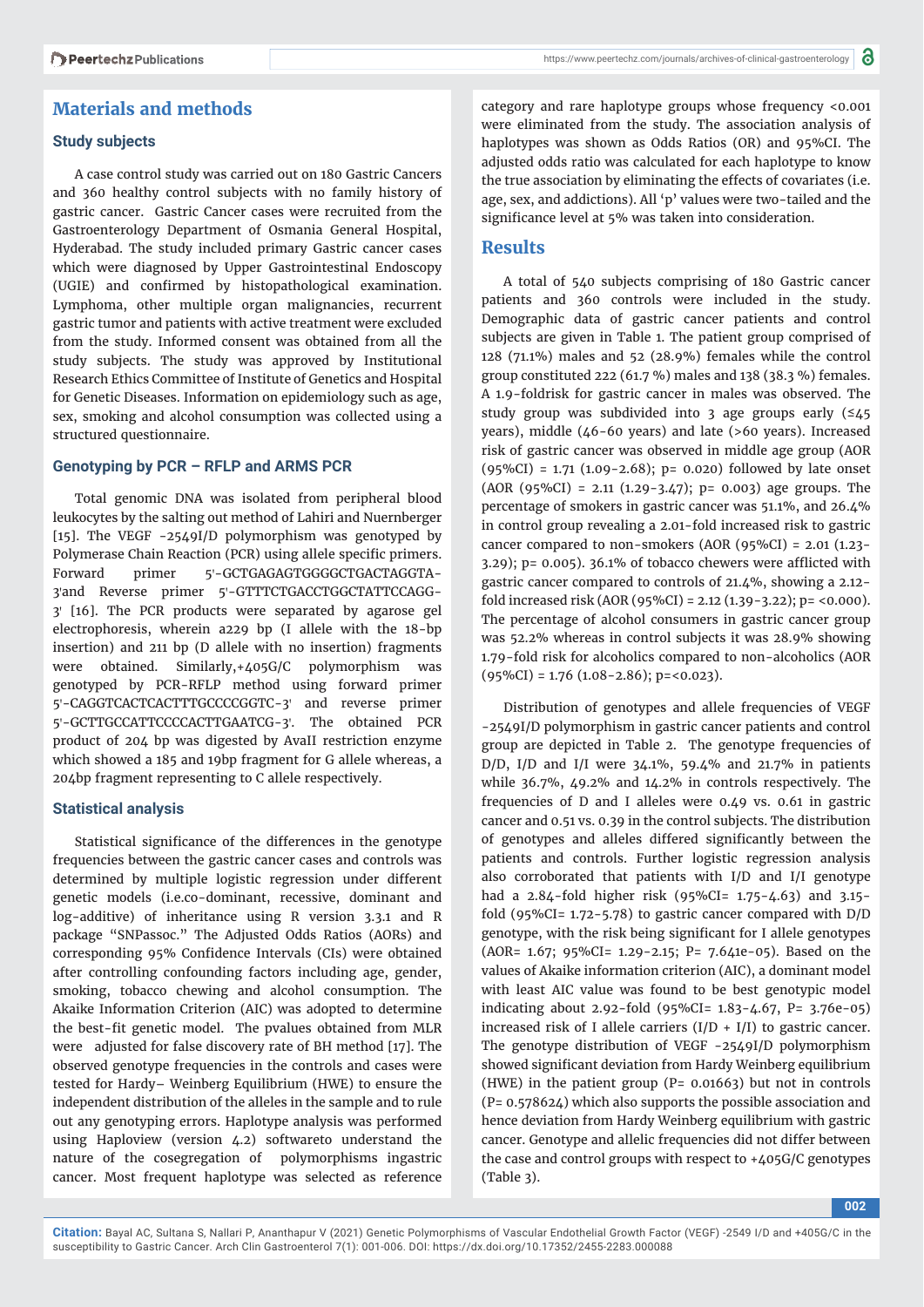## **Materials and methods**

#### **Study subjects**

A case control study was carried out on 180 Gastric Cancers and 360 healthy control subjects with no family history of gastric cancer. Gastric Cancer cases were recruited from the Gastroenterology Department of Osmania General Hospital, Hyderabad. The study included primary Gastric cancer cases which were diagnosed by Upper Gastrointestinal Endoscopy (UGIE) and confirmed by histopathological examination. Lymphoma, other multiple organ malignancies, recurrent gastric tumor and patients with active treatment were excluded from the study. Informed consent was obtained from all the study subjects. The study was approved by Institutional Research Ethics Committee of Institute of Genetics and Hospital for Genetic Diseases. Information on epidemiology such as age, sex, smoking and alcohol consumption was collected using a structured questionnaire.

#### **Genotyping by PCR – RFLP and ARMS PCR**

Total genomic DNA was isolated from peripheral blood leukocytes by the salting out method of Lahiri and Nuernberger [15]. The VEGF -2549I/D polymorphism was genotyped by Polymerase Chain Reaction (PCR) using allele specific primers. Forward primer 5'-GCTGAGAGTGGGGCTGACTAGGTA-3'and Reverse primer 5'-GTTTCTGACCTGGCTATTCCAGG-3ꞌ [16]. The PCR products were separated by agarose gel electrophoresis, wherein a229 bp (I allele with the 18-bp insertion) and 211 bp (D allele with no insertion) fragments were obtained. Similarly,+405G/C polymorphism was genotyped by PCR-RFLP method using forward primer 5'-CAGGTCACTCACTTTGCCCCGGTC-3' and reverse primer 5'-GCTTGCCATTCCCCACTTGAATCG-3'. The obtained PCR product of 204 bp was digested by AvaII restriction enzyme which showed a 185 and 19bp fragment for G allele whereas, a 204bp fragment representing to C allele respectively.

#### **Statistical analysis**

Statistical significance of the differences in the genotype frequencies between the gastric cancer cases and controls was determined by multiple logistic regression under different genetic models (i.e.co-dominant, recessive, dominant and log-additive) of inheritance using R version 3.3.1 and R package "SNPassoc." The Adjusted Odds Ratios (AORs) and corresponding 95% Confidence Intervals (CIs) were obtained after controlling confounding factors including age, gender, smoking, tobacco chewing and alcohol consumption. The Akaike Information Criterion (AIC) was adopted to determine the best-fit genetic model. The pvalues obtained from MLR were adjusted for false discovery rate of BH method [17]. The observed genotype frequencies in the controls and cases were tested for Hardy– Weinberg Equilibrium (HWE) to ensure the independent distribution of the alleles in the sample and to rule out any genotyping errors. Haplotype analysis was performed using Haploview (version 4.2) softwareto understand the nature of the cosegregation of polymorphisms ingastric cancer. Most frequent haplotype was selected as reference

category and rare haplotype groups whose frequency <0.001 were eliminated from the study. The association analysis of haplotypes was shown as Odds Ratios (OR) and 95%CI. The adjusted odds ratio was calculated for each haplotype to know the true association by eliminating the effects of covariates (i.e. age, sex, and addictions). All 'p' values were two-tailed and the significance level at 5% was taken into consideration.

## **Results**

A total of 540 subjects comprising of 180 Gastric cancer patients and 360 controls were included in the study. Demographic data of gastric cancer patients and control subjects are given in Table 1. The patient group comprised of 128 (71.1%) males and 52 (28.9%) females while the control group constituted 222 (61.7 %) males and 138 (38.3 %) females. A 1.9-foldrisk for gastric cancer in males was observed. The study group was subdivided into 3 age groups early (≤45 years), middle (46-60 years) and late (>60 years). Increased risk of gastric cancer was observed in middle age group (AOR  $(95\%CI) = 1.71$   $(1.09 - 2.68)$ ; p= 0.020) followed by late onset  $(AOR (95\%CI) = 2.11 (1.29-3.47); p= 0.003$  age groups. The percentage of smokers in gastric cancer was 51.1%, and 26.4% in control group revealing a 2.01-fold increased risk to gastric cancer compared to non-smokers (AOR (95%CI) = 2.01 (1.23-  $3.29$ ); p= 0.005).  $36.1\%$  of tobacco chewers were afflicted with gastric cancer compared to controls of 21.4%, showing a 2.12 fold increased risk (AOR (95%CI) = 2.12 (1.39-3.22); p= <0.000). The percentage of alcohol consumers in gastric cancer group was 52.2% whereas in control subjects it was 28.9% showing 1.79-fold risk for alcoholics compared to non-alcoholics (AOR  $(95\%CI) = 1.76$   $(1.08 - 2.86)$ ;  $p = 0.023$ ).

Distribution of genotypes and allele frequencies of VEGF -2549I/D polymorphism in gastric cancer patients and control group are depicted in Table 2. The genotype frequencies of D/D, I/D and I/I were 34.1%, 59.4% and 21.7% in patients while 36.7%, 49.2% and 14.2% in controls respectively. The frequencies of D and I alleles were 0.49 vs. 0.61 in gastric cancer and 0.51 vs. 0.39 in the control subjects. The distribution of genotypes and alleles differed significantly between the patients and controls. Further logistic regression analysis also corroborated that patients with I/D and I/I genotype had a 2.84-fold higher risk (95%CI= 1.75-4.63) and 3.15 fold (95%CI=  $1.72 - 5.78$ ) to gastric cancer compared with  $D/D$ genotype, with the risk being significant for I allele genotypes (AOR= 1.67; 95%CI= 1.29-2.15; P= 7.641e-05). Based on the values of Akaike information criterion (AIC), a dominant model with least AIC value was found to be best genotypic model indicating about 2.92-fold (95%CI= 1.83-4.67, P= 3.76e-05) increased risk of I allele carriers  $(I/D + I/I)$  to gastric cancer. The genotype distribution of VEGF -2549I/D polymorphism showed significant deviation from Hardy Weinberg equilibrium (HWE) in the patient group ( $P= 0.01663$ ) but not in controls (P= 0.578624) which also supports the possible association and hence deviation from Hardy Weinberg equilibrium with gastric cancer. Genotype and allelic frequencies did not differ between the case and control groups with respect to +405G/C genotypes (Table 3).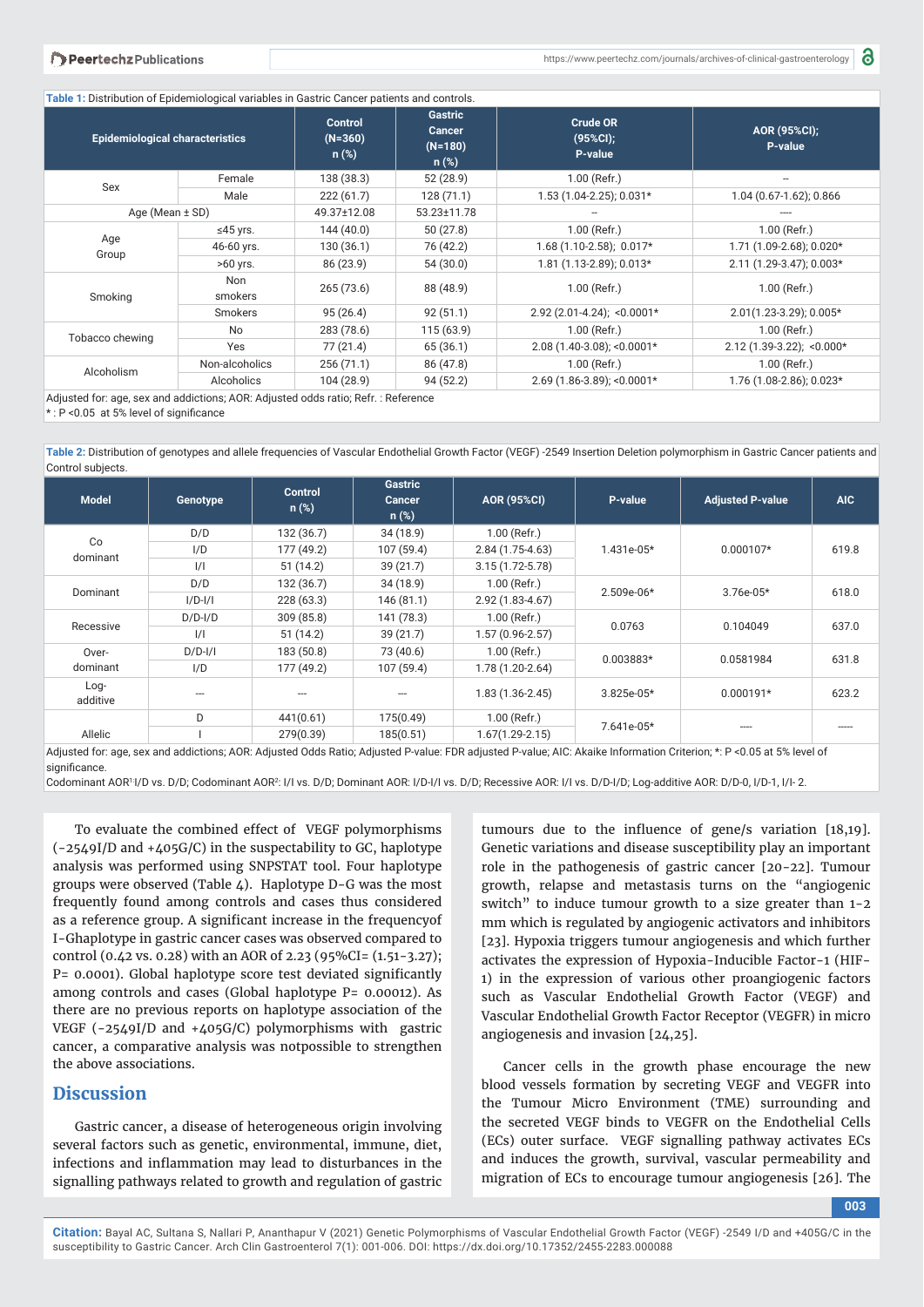**Table 1:** Distribution of Epidemiological variables in Gastric Cancer patients and controls.

| <b>Epidemiological characteristics</b> |                 | <b>Gastric</b><br><b>Control</b><br><b>Cancer</b><br>$(N=360)$<br>$(N=180)$<br>$n$ (%)<br>$n$ (%) |             | <b>Crude OR</b><br>(95%Cl);<br>P-value | AOR (95%CI);<br>P-value   |  |
|----------------------------------------|-----------------|---------------------------------------------------------------------------------------------------|-------------|----------------------------------------|---------------------------|--|
|                                        | Female          | 138 (38.3)                                                                                        | 52 (28.9)   | 1.00 (Refr.)                           |                           |  |
| Sex                                    | Male            | 222(61.7)                                                                                         | 128 (71.1)  | 1.53 (1.04-2.25); 0.031*               | 1.04 (0.67-1.62); 0.866   |  |
|                                        | Age (Mean ± SD) |                                                                                                   | 53.23±11.78 |                                        |                           |  |
|                                        | ≤45 yrs.        | 144(40.0)                                                                                         | 50(27.8)    | $1.00$ (Refr.)                         | $1.00$ (Refr.)            |  |
| Age                                    | 46-60 yrs.      | 130(36.1)                                                                                         | 76 (42.2)   | $1.68(1.10-2.58); 0.017*$              | 1.71 (1.09-2.68); 0.020*  |  |
| Group                                  | $>60$ yrs.      | 86 (23.9)                                                                                         | 54 (30.0)   | 1.81 (1.13-2.89); 0.013*               | 2.11 (1.29-3.47); 0.003*  |  |
| Smoking                                | Non<br>smokers  | 265(73.6)                                                                                         | 88 (48.9)   | 1.00 (Refr.)                           | $1.00$ (Refr.)            |  |
|                                        | <b>Smokers</b>  | 95(26.4)                                                                                          | 92(51.1)    | $2.92(2.01-4.24);$ <0.0001*            | 2.01(1.23-3.29); 0.005*   |  |
| Tobacco chewing                        | <b>No</b>       | 283 (78.6)                                                                                        | 115(63.9)   | 1.00 (Refr.)                           | $1.00$ (Refr.)            |  |
|                                        | Yes             | 77 (21.4)                                                                                         | 65 (36.1)   | $2.08(1.40-3.08)$ ; <0.0001*           | 2.12 (1.39-3.22); <0.000* |  |
| Alcoholism                             | Non-alcoholics  | 256(71.1)                                                                                         | 86 (47.8)   | 1.00 (Refr.)                           | $1.00$ (Refr.)            |  |
|                                        | Alcoholics      | 104 (28.9)                                                                                        | 94 (52.2)   | $2.69$ (1.86-3.89); <0.0001*           | 1.76 (1.08-2.86); 0.023*  |  |

Adjusted for: age, sex and addictions; AOR: Adjusted odds ratio; Refr. : Reference

 $*$  : P < 0.05 at 5% level of significance

**Table 2:** Distribution of genotypes and allele frequencies of Vascular Endothelial Growth Factor (VEGF) -2549 Insertion Deletion polymorphism in Gastric Cancer patients and Control subjects.

| <b>Model</b>       | Genotype      | <b>Control</b><br>$n$ (%) | <b>Gastric</b><br><b>Cancer</b><br>$n$ (%) | <b>AOR (95%CI)</b>  | P-value      | <b>Adjusted P-value</b> | AIC   |
|--------------------|---------------|---------------------------|--------------------------------------------|---------------------|--------------|-------------------------|-------|
|                    | D/D           | 132 (36.7)                | 34(18.9)                                   | 1.00 (Refr.)        |              |                         |       |
| Co<br>dominant     | I/D           | 177 (49.2)                | 107 (59.4)                                 | $2.84(1.75-4.63)$   | $1.431e-05*$ | $0.000107*$             | 619.8 |
|                    | $\frac{1}{1}$ | 51(14.2)                  | 39(21.7)                                   | $3.15(1.72 - 5.78)$ |              |                         |       |
| Dominant           | D/D           | 132(36.7)                 | 34(18.9)                                   | $1.00$ (Refr.)      | $2.509e-06*$ | $3.76e-0.5*$            | 618.0 |
|                    | $I/D-I/I$     | 228(63.3)                 | 146(81.1)                                  | $2.92(1.83 - 4.67)$ |              |                         |       |
| Recessive          | $D/D$ -I/ $D$ | 309(85.8)                 | 141 (78.3)                                 | 1.00 (Refr.)        | 0.0763       | 0.104049                | 637.0 |
|                    | $\frac{1}{1}$ | 51(14.2)                  | 39(21.7)                                   | $1.57(0.96-2.57)$   |              |                         |       |
| Over-<br>dominant  | $D/D$ - $I/I$ | 183 (50.8)                | 73 (40.6)                                  | 1.00 (Refr.)        |              | 0.0581984               | 631.8 |
|                    | I/D           | 177 (49.2)                | 107(59.4)                                  | $1.78(1.20-2.64)$   | 0.003883*    |                         |       |
| $Log-$<br>additive |               |                           |                                            | $1.83(1.36-2.45)$   | $3.825e-05*$ | $0.000191*$             | 623.2 |
|                    | D             | 441(0.61)                 | 175(0.49)                                  | 1.00 (Refr.)        | 7.641e-05*   |                         |       |
| Allelic            |               | 279(0.39)                 | 185(0.51)                                  | $1.67(1.29 - 2.15)$ |              | ----                    | ----- |

Adjusted for: age, sex and addictions; AOR: Adjusted Odds Ratio; Adjusted P-value: FDR adjusted P-value; AIC: Akaike Information Criterion; \*: P <0.05 at 5% level of significance.

Codominant AOR<sup>1</sup>I/D vs. D/D; Codominant AOR<sup>2</sup>: I/I vs. D/D; Dominant AOR: I/D-I/I vs. D/D; Recessive AOR: I/I vs. D/D-I/D; Log-additive AOR: D/D-0, I/D-1, I/I-2.

To evaluate the combined effect of VEGF polymorphisms (-2549I/D and +405G/C) in the suspectability to GC, haplotype analysis was performed using SNPSTAT tool. Four haplotype groups were observed (Table 4). Haplotype D-G was the most frequently found among controls and cases thus considered as a reference group. A significant increase in the frequencyof I-Ghaplotype in gastric cancer cases was observed compared to control (0.42 vs. 0.28) with an AOR of 2.23 (95%CI= (1.51-3.27); P= 0.0001). Global haplotype score test deviated significantly among controls and cases (Global haplotype P= 0.00012). As there are no previous reports on haplotype association of the VEGF (-2549I/D and +405G/C) polymorphisms with gastric cancer, a comparative analysis was notpossible to strengthen the above associations.

## **Discussion**

Gastric cancer, a disease of heterogeneous origin involving several factors such as genetic, environmental, immune, diet, infections and inflammation may lead to disturbances in the signalling pathways related to growth and regulation of gastric

tumours due to the influence of gene/s variation [18,19]. Genetic variations and disease susceptibility play an important role in the pathogenesis of gastric cancer [20-22]. Tumour growth, relapse and metastasis turns on the "angiogenic switch" to induce tumour growth to a size greater than 1-2 mm which is regulated by angiogenic activators and inhibitors [23]. Hypoxia triggers tumour angiogenesis and which further activates the expression of Hypoxia-Inducible Factor-1 (HIF-1) in the expression of various other proangiogenic factors such as Vascular Endothelial Growth Factor (VEGF) and Vascular Endothelial Growth Factor Receptor (VEGFR) in micro angiogenesis and invasion [24,25].

Cancer cells in the growth phase encourage the new blood vessels formation by secreting VEGF and VEGFR into the Tumour Micro Environment (TME) surrounding and the secreted VEGF binds to VEGFR on the Endothelial Cells (ECs) outer surface. VEGF signalling pathway activates ECs and induces the growth, survival, vascular permeability and migration of ECs to encourage tumour angiogenesis [26]. The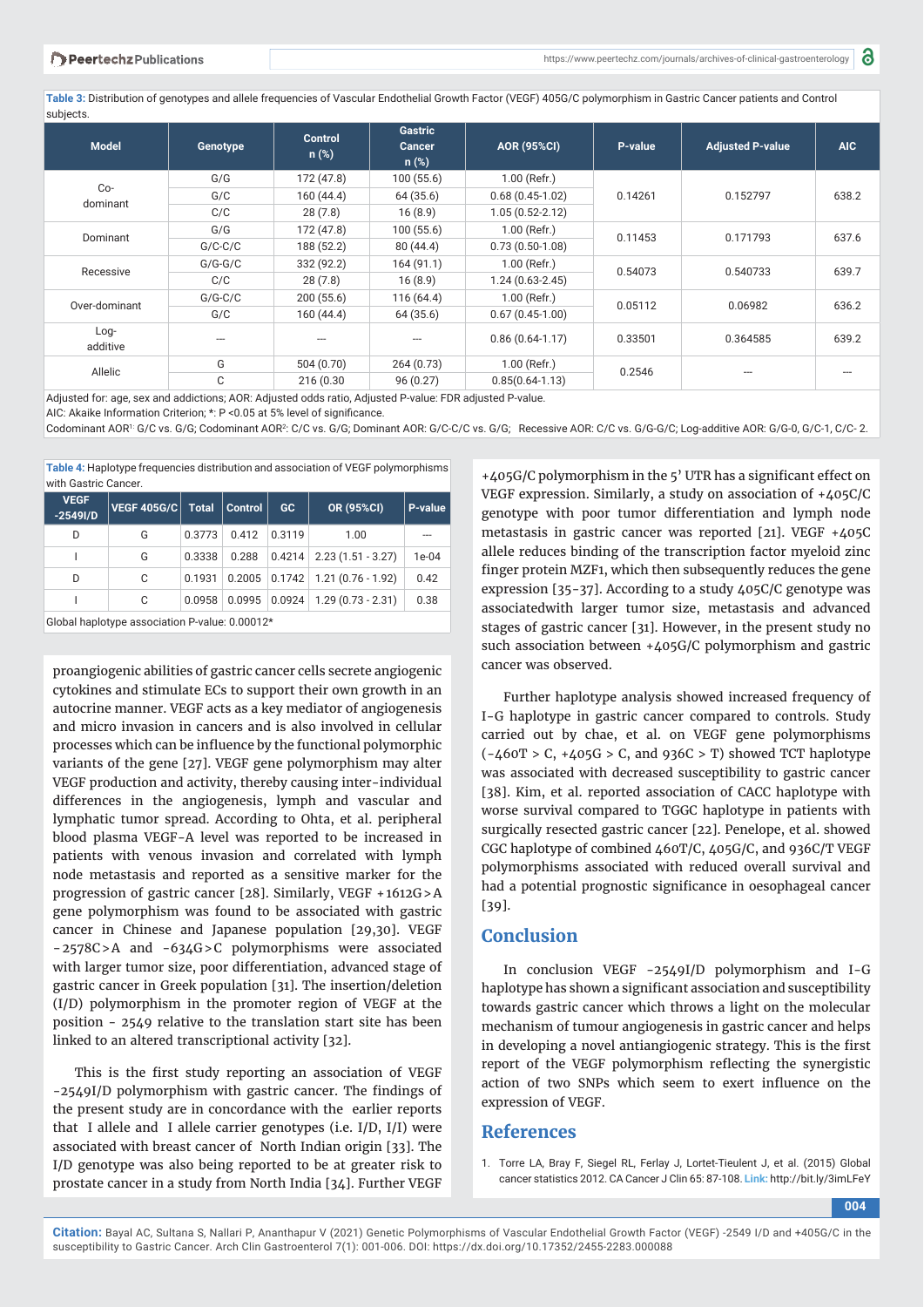a

**Table 3:** Distribution of genotypes and allele frequencies of Vascular Endothelial Growth Factor (VEGF) 405G/C polymorphism in Gastric Cancer patients and Control subjects.

| <b>Model</b>       | Genotype  | <b>Control</b><br>$n$ (%) | Gastric<br><b>Cancer</b><br>$n$ (%) | <b>AOR (95%CI)</b>  | P-value | <b>Adjusted P-value</b> | <b>AIC</b> |
|--------------------|-----------|---------------------------|-------------------------------------|---------------------|---------|-------------------------|------------|
|                    | G/G       | 172 (47.8)                | 100(55.6)                           | $1.00$ (Refr.)      | 0.14261 | 0.152797                | 638.2      |
| $Co-$              | G/C       | 160(44.4)                 | 64 (35.6)                           | $0.68(0.45-1.02)$   |         |                         |            |
| dominant           | C/C       | 28(7.8)                   | 16(8.9)                             | $1.05(0.52 - 2.12)$ |         |                         |            |
|                    | G/G       | 172 (47.8)                | 100(55.6)                           | $1.00$ (Refr.)      | 0.11453 | 0.171793                | 637.6      |
| Dominant           | $G/C-C/C$ | 188 (52.2)                | 80(44.4)                            | $0.73(0.50-1.08)$   |         |                         |            |
|                    | $G/G-G/C$ | 332 (92.2)                | 164(91.1)                           | $1.00$ (Refr.)      |         | 0.540733                | 639.7      |
| Recessive          | C/C       | 28(7.8)                   | 16(8.9)                             | $1.24(0.63-2.45)$   | 0.54073 |                         |            |
| Over-dominant      | $G/G-C/C$ | 200(55.6)                 | 116(64.4)                           | $1.00$ (Refr.)      |         | 0.06982                 | 636.2      |
|                    | G/C       | 160(44.4)                 | 64 (35.6)                           | $0.67(0.45-1.00)$   | 0.05112 |                         |            |
| $Log-$<br>additive |           |                           |                                     | $0.86(0.64-1.17)$   | 0.33501 | 0.364585                | 639.2      |
|                    | G         | 504 (0.70)                | 264(0.73)                           | $1.00$ (Refr.)      |         |                         |            |
| Allelic            | C         | 216 (0.30                 | 96(0.27)                            | $0.85(0.64-1.13)$   | 0.2546  |                         |            |

Adjusted for: age, sex and addictions; AOR: Adjusted odds ratio, Adjusted P-value: FDR adjusted P-value.

AIC: Akaike Information Criterion; \*: P < 0.05 at 5% level of significance.

Codominant AOR<sup>1:</sup> G/C vs. G/G; Codominant AOR<sup>2</sup>: C/C vs. G/G; Dominant AOR: G/C-C/C vs. G/G; Recessive AOR: C/C vs. G/G-G/C; Log-additive AOR: G/G-0, G/C-1, C/C-2.

**Table 4:** Haplotype frequencies distribution and association of VEGF polymorphisms with Gastric Cancer

| <b>VEGF</b><br>$-2549$ I/D | <b>VEGF 405G/C</b> | <b>Total</b> | <b>Control</b> | GC     | OR (95%CI)                           | P-value |
|----------------------------|--------------------|--------------|----------------|--------|--------------------------------------|---------|
| D                          | G                  | 0.3773       | 0.412          | 0.3119 | 1.00                                 |         |
|                            | G                  | 0.3338       | 0.288          |        | $0.4214$ 2.23 (1.51 - 3.27)          | 1e-04   |
| D                          | C                  | 0.1931       |                |        | $0.2005$ $0.1742$ 1.21 (0.76 - 1.92) | 0.42    |
|                            | C                  | 0.0958       | 0.0995         | 0.0924 | $1.29(0.73 - 2.31)$                  | 0.38    |
|                            |                    |              |                |        |                                      |         |

Global haplotype association P-value: 0.00012\*

proangiogenic abilities of gastric cancer cells secrete angiogenic cytokines and stimulate ECs to support their own growth in an autocrine manner. VEGF acts as a key mediator of angiogenesis and micro invasion in cancers and is also involved in cellular processes which can be influence by the functional polymorphic variants of the gene [27]. VEGF gene polymorphism may alter VEGF production and activity, thereby causing inter-individual differences in the angiogenesis, lymph and vascular and lymphatic tumor spread. According to Ohta, et al. peripheral blood plasma VEGF-A level was reported to be increased in patients with venous invasion and correlated with lymph node metastasis and reported as a sensitive marker for the progression of gastric cancer [28]. Similarly, VEGF + 1612G > A gene polymorphism was found to be associated with gastric cancer in Chinese and Japanese population [29,30]. VEGF − 2578C > A and -634G > C polymorphisms were associated with larger tumor size, poor differentiation, advanced stage of gastric cancer in Greek population [31]. The insertion/deletion (I/D) polymorphism in the promoter region of VEGF at the position - 2549 relative to the translation start site has been linked to an altered transcriptional activity [32].

This is the first study reporting an association of VEGF -2549I/D polymorphism with gastric cancer. The findings of the present study are in concordance with the earlier reports that I allele and I allele carrier genotypes (i.e. I/D, I/I) were associated with breast cancer of North Indian origin [33]. The I/D genotype was also being reported to be at greater risk to prostate cancer in a study from North India [34]. Further VEGF

+405G/C polymorphism in the 5' UTR has a significant effect on VEGF expression. Similarly, a study on association of +405C/C genotype with poor tumor differentiation and lymph node metastasis in gastric cancer was reported [21]. VEGF +405C allele reduces binding of the transcription factor myeloid zinc finger protein MZF1, which then subsequently reduces the gene expression [35-37]. According to a study 405C/C genotype was associatedwith larger tumor size, metastasis and advanced stages of gastric cancer [31]. However, in the present study no such association between +405G/C polymorphism and gastric cancer was observed.

Further haplotype analysis showed increased frequency of I-G haplotype in gastric cancer compared to controls. Study carried out by chae, et al. on VEGF gene polymorphisms  $(-460T > C, +405G > C,$  and 936C > T) showed TCT haplotype was associated with decreased susceptibility to gastric cancer [38]. Kim, et al. reported association of CACC haplotype with worse survival compared to TGGC haplotype in patients with surgically resected gastric cancer [22]. Penelope, et al. showed CGC haplotype of combined 460T/C, 405G/C, and 936C/T VEGF polymorphisms associated with reduced overall survival and had a potential prognostic significance in oesophageal cancer [39].

## **Conclusion**

In conclusion VEGF -2549I/D polymorphism and I-G haplotype has shown a significant association and susceptibility towards gastric cancer which throws a light on the molecular mechanism of tumour angiogenesis in gastric cancer and helps in developing a novel antiangiogenic strategy. This is the first report of the VEGF polymorphism reflecting the synergistic action of two SNPs which seem to exert influence on the expression of VEGF.

### **References**

1. Torre LA, Bray F, Siegel RL, Ferlay J, Lortet-Tieulent J, et al. (2015) Global cancer statistics 2012. CA Cancer J Clin 65: 87-108. **Link:** http://bit.ly/3imLFeY

**004**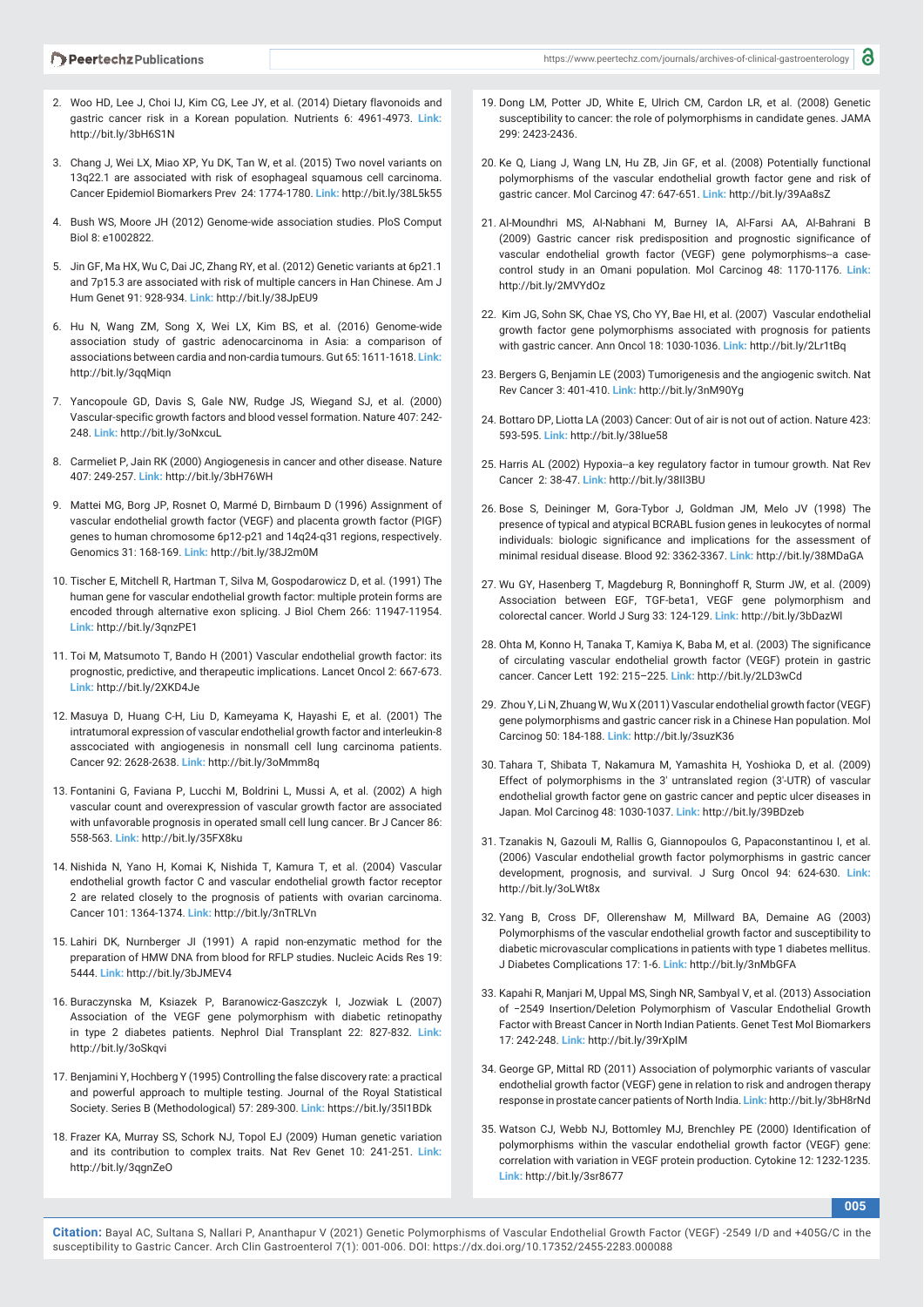- 2. Woo HD, Lee J, Choi IJ, Kim CG, Lee JY, et al. (2014) Dietary flavonoids and gastric cancer risk in a Korean population. Nutrients 6: 4961-4973. **Link:** http://bit.ly/3bH6S1N
- 3. Chang J, Wei LX, Miao XP, Yu DK, Tan W, et al. (2015) Two novel variants on 13q22.1 are associated with risk of esophageal squamous cell carcinoma. Cancer Epidemiol Biomarkers Prev 24: 1774-1780. **Link:** http://bit.ly/38L5k55
- 4. Bush WS, Moore JH (2012) Genome-wide association studies. PloS Comput Biol 8: e1002822.
- 5. Jin GF, Ma HX, Wu C, Dai JC, Zhang RY, et al. (2012) Genetic variants at 6p21.1 and 7p15.3 are associated with risk of multiple cancers in Han Chinese. Am J Hum Genet 91: 928-934. **Link:** http://bit.ly/38JpEU9
- 6. Hu N, Wang ZM, Song X, Wei LX, Kim BS, et al. (2016) Genome-wide association study of gastric adenocarcinoma in Asia: a comparison of associations between cardia and non-cardia tumours. Gut 65: 1611-1618. **Link:** http://bit.ly/3qqMiqn
- 7. Yancopoule GD, Davis S, Gale NW, Rudge JS, Wiegand SJ, et al. (2000) Vascular-specific growth factors and blood vessel formation. Nature 407: 242- 248. **Link:** http://bit.ly/3oNxcuL
- 8. Carmeliet P, Jain RK (2000) Angiogenesis in cancer and other disease. Nature 407: 249-257. **Link:** http://bit.ly/3bH76WH
- 9. Mattei MG, Borg JP, Rosnet O, Marmé D, Birnbaum D (1996) Assignment of vascular endothelial growth factor (VEGF) and placenta growth factor (PIGF) genes to human chromosome 6p12-p21 and 14q24-q31 regions, respectively. Genomics 31: 168-169. **Link:** http://bit.ly/38J2m0M
- 10. Tischer E, Mitchell R, Hartman T, Silva M, Gospodarowicz D, et al. (1991) The human gene for vascular endothelial growth factor: multiple protein forms are encoded through alternative exon splicing. J Biol Chem 266: 11947-11954. **Link:** http://bit.ly/3qnzPE1
- 11. Toi M, Matsumoto T, Bando H (2001) Vascular endothelial growth factor: its prognostic, predictive, and therapeutic implications. Lancet Oncol 2: 667-673. **Link:** http://bit.ly/2XKD4Je
- 12. Masuya D, Huang C-H, Liu D, Kameyama K, Hayashi E, et al. (2001) The intratumoral expression of vascular endothelial growth factor and interleukin-8 asscociated with angiogenesis in nonsmall cell lung carcinoma patients. Cancer 92: 2628-2638. **Link:** http://bit.ly/3oMmm8q
- 13. Fontanini G, Faviana P, Lucchi M, Boldrini L, Mussi A, et al. (2002) A high vascular count and overexpression of vascular growth factor are associated with unfavorable prognosis in operated small cell lung cancer. Br J Cancer 86: 558-563. **Link:** http://bit.ly/35FX8ku
- 14. Nishida N, Yano H, Komai K, Nishida T, Kamura T, et al. (2004) Vascular endothelial growth factor C and vascular endothelial growth factor receptor 2 are related closely to the prognosis of patients with ovarian carcinoma. Cancer 101: 1364-1374. **Link:** http://bit.ly/3nTRLVn
- 15. Lahiri DK, Nurnberger JI (1991) A rapid non-enzymatic method for the preparation of HMW DNA from blood for RFLP studies. Nucleic Acids Res 19: 5444. **Link:** http://bit.ly/3bJMEV4
- 16. Buraczynska M, Ksiazek P, Baranowicz-Gaszczyk I, Jozwiak L (2007) Association of the VEGF gene polymorphism with diabetic retinopathy in type 2 diabetes patients. Nephrol Dial Transplant 22: 827-832. **Link:** http://bit.ly/3oSkqvi
- 17. Benjamini Y, Hochberg Y (1995) Controlling the false discovery rate: a practical and powerful approach to multiple testing. Journal of the Royal Statistical Society. Series B (Methodological) 57: 289-300. **Link:** https://bit.ly/35I1BDk
- 18. Frazer KA, Murray SS, Schork NJ, Topol EJ (2009) Human genetic variation and its contribution to complex traits. Nat Rev Genet 10: 241-251. **Link:** http://bit.ly/3qgnZeO
- 19. Dong LM, Potter JD, White E, Ulrich CM, Cardon LR, et al. (2008) Genetic susceptibility to cancer: the role of polymorphisms in candidate genes. JAMA 299: 2423-2436.
- 20. Ke Q, Liang J, Wang LN, Hu ZB, Jin GF, et al. (2008) Potentially functional polymorphisms of the vascular endothelial growth factor gene and risk of gastric cancer. Mol Carcinog 47: 647-651. **Link:** http://bit.ly/39Aa8sZ
- 21. Al-Moundhri MS, Al-Nabhani M, Burney IA, Al-Farsi AA, Al-Bahrani B (2009) Gastric cancer risk predisposition and prognostic significance of vascular endothelial growth factor (VEGF) gene polymorphisms--a casecontrol study in an Omani population. Mol Carcinog 48: 1170-1176. **Link:** http://bit.ly/2MVYdOz
- 22. Kim JG, Sohn SK, Chae YS, Cho YY, Bae HI, et al. (2007) Vascular endothelial growth factor gene polymorphisms associated with prognosis for patients with gastric cancer. Ann Oncol 18: 1030-1036. **Link:** http://bit.ly/2Lr1tBq
- 23. Bergers G, Benjamin LE (2003) Tumorigenesis and the angiogenic switch. Nat Rev Cancer 3: 401-410. **Link:** http://bit.ly/3nM90Yg
- 24. Bottaro DP, Liotta LA (2003) Cancer: Out of air is not out of action. Nature 423: 593-595. **Link:** http://bit.ly/38Iue58
- 25. Harris AL (2002) Hypoxia--a key regulatory factor in tumour growth. Nat Rev Cancer 2: 38-47. **Link:** http://bit.ly/38Il3BU
- 26. Bose S, Deininger M, Gora-Tybor J, Goldman JM, Melo JV (1998) The presence of typical and atypical BCRABL fusion genes in leukocytes of normal individuals: biologic significance and implications for the assessment of minimal residual disease. Blood 92: 3362-3367. **Link:** http://bit.ly/38MDaGA
- 27. Wu GY, Hasenberg T, Magdeburg R, Bonninghoff R, Sturm JW, et al. (2009) Association between EGF, TGF-beta1, VEGF gene polymorphism and colorectal cancer. World J Surg 33: 124-129. **Link:** http://bit.ly/3bDazWl
- 28. Ohta M, Konno H, Tanaka T, Kamiya K, Baba M, et al. (2003) The significance of circulating vascular endothelial growth factor (VEGF) protein in gastric cancer. Cancer Lett 192: 215–225. **Link:** http://bit.ly/2LD3wCd
- 29. Zhou Y, Li N, Zhuang W, Wu X (2011) Vascular endothelial growth factor (VEGF) gene polymorphisms and gastric cancer risk in a Chinese Han population. Mol Carcinog 50: 184-188. **Link:** http://bit.ly/3suzK36
- 30. Tahara T, Shibata T, Nakamura M, Yamashita H, Yoshioka D, et al. (2009) Effect of polymorphisms in the 3′ untranslated region (3′-UTR) of vascular endothelial growth factor gene on gastric cancer and peptic ulcer diseases in Japan. Mol Carcinog 48: 1030-1037. **Link:** http://bit.ly/39BDzeb
- 31. Tzanakis N, Gazouli M, Rallis G, Giannopoulos G, Papaconstantinou I, et al. (2006) Vascular endothelial growth factor polymorphisms in gastric cancer development, prognosis, and survival. J Surg Oncol 94: 624-630. **Link:** http://bit.ly/3oLWt8x
- 32. Yang B, Cross DF, Ollerenshaw M, Millward BA, Demaine AG (2003) Polymorphisms of the vascular endothelial growth factor and susceptibility to diabetic microvascular complications in patients with type 1 diabetes mellitus. J Diabetes Complications 17: 1-6. **Link:** http://bit.ly/3nMbGFA
- 33. Kapahi R, Manjari M, Uppal MS, Singh NR, Sambyal V, et al. (2013) Association of −2549 Insertion/Deletion Polymorphism of Vascular Endothelial Growth Factor with Breast Cancer in North Indian Patients. Genet Test Mol Biomarkers 17: 242-248. **Link:** http://bit.ly/39rXpIM
- 34. George GP, Mittal RD (2011) Association of polymorphic variants of vascular endothelial growth factor (VEGF) gene in relation to risk and androgen therapy response in prostate cancer patients of North India. **Link:** http://bit.ly/3bH8rNd
- 35. Watson CJ, Webb NJ, Bottomley MJ, Brenchley PE (2000) Identification of polymorphisms within the vascular endothelial growth factor (VEGF) gene: correlation with variation in VEGF protein production. Cytokine 12: 1232-1235. **Link:** http://bit.ly/3sr8677

**005**